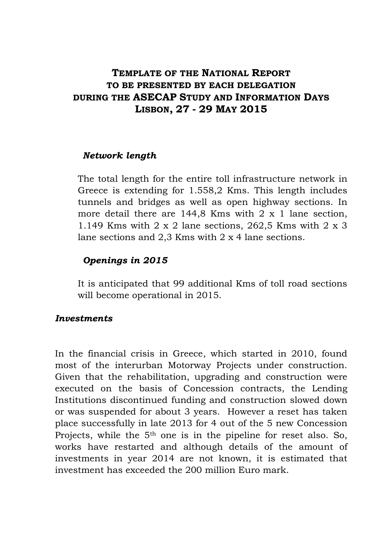# **TEMPLATE OF THE NATIONAL REPORT TO BE PRESENTED BY EACH DELEGATION DURING THE ASECAP STUDY AND INFORMATION DAYS LISBON, 27 - 29 MAY 2015**

#### *Network length*

The total length for the entire toll infrastructure network in Greece is extending for 1.558,2 Kms. This length includes tunnels and bridges as well as open highway sections. In more detail there are 144,8 Kms with 2 x 1 lane section, 1.149 Kms with 2 x 2 lane sections, 262,5 Kms with 2 x 3 lane sections and 2,3 Kms with 2 x 4 lane sections.

# *Openings in 2015*

It is anticipated that 99 additional Kms of toll road sections will become operational in 2015.

### *Investments*

In the financial crisis in Greece, which started in 2010, found most of the interurban Motorway Projects under construction. Given that the rehabilitation, upgrading and construction were executed on the basis of Concession contracts, the Lending Institutions discontinued funding and construction slowed down or was suspended for about 3 years. However a reset has taken place successfully in late 2013 for 4 out of the 5 new Concession Projects, while the  $5<sup>th</sup>$  one is in the pipeline for reset also. So, works have restarted and although details of the amount of investments in year 2014 are not known, it is estimated that investment has exceeded the 200 million Euro mark.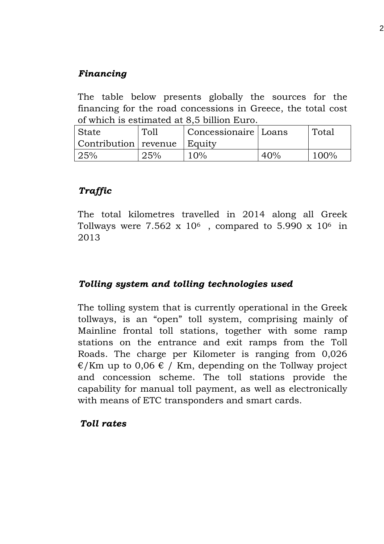# *Financing*

The table below presents globally the sources for the financing for the road concessions in Greece, the total cost of which is estimated at 8,5 billion Euro.

| State                         | Toll | Concessionaire   Loans |     | Total |
|-------------------------------|------|------------------------|-----|-------|
| Contribution revenue   Equity |      |                        |     |       |
| 25%                           | 25%  | 10%                    | 40% | 100%  |

## *Traffic*

The total kilometres travelled in 2014 along all Greek Tollways were  $7.562 \times 10^6$ , compared to 5.990 x  $10^6$  in 2013

### *Tolling system and tolling technologies used*

The tolling system that is currently operational in the Greek tollways, is an "open" toll system, comprising mainly of Mainline frontal toll stations, together with some ramp stations on the entrance and exit ramps from the Toll Roads. The charge per Kilometer is ranging from 0,026  $\epsilon$ /Km up to 0,06  $\epsilon$  / Km, depending on the Tollway project and concession scheme. The toll stations provide the capability for manual toll payment, as well as electronically with means of ETC transponders and smart cards.

#### *Toll rates*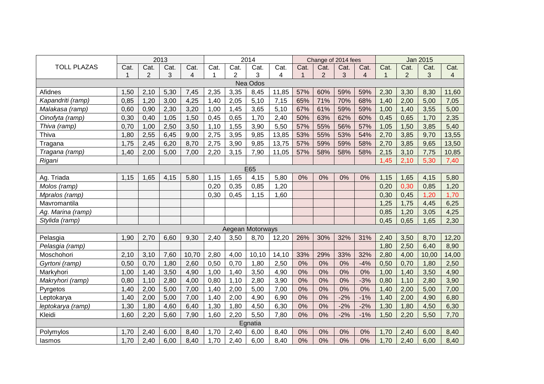|                    |      |                | 2013 |       |      |                | 2014             |       |      | Change of 2014 fees |       |       |      |                | <b>Jan 2015</b> |                |
|--------------------|------|----------------|------|-------|------|----------------|------------------|-------|------|---------------------|-------|-------|------|----------------|-----------------|----------------|
| <b>TOLL PLAZAS</b> | Cat. | Cat.           | Cat. | Cat.  | Cat. | Cat.           | Cat.             | Cat.  | Cat. | Cat.                | Cat.  | Cat.  | Cat. | Cat.           | Cat.            | Cat.           |
|                    |      | $\overline{2}$ | 3    | 4     | 1    | $\overline{2}$ | 3                | 4     |      | $\overline{2}$      | 3     | 4     | 1    | $\overline{2}$ | 3               | $\overline{4}$ |
| Nea Odos           |      |                |      |       |      |                |                  |       |      |                     |       |       |      |                |                 |                |
| Afidnes            | 1,50 | 2,10           | 5,30 | 7,45  | 2,35 | 3,35           | 8,45             | 11,85 | 57%  | 60%                 | 59%   | 59%   | 2,30 | 3,30           | 8,30            | 11,60          |
| Kapandriti (ramp)  | 0,85 | 1,20           | 3,00 | 4,25  | 1,40 | 2,05           | 5,10             | 7,15  | 65%  | 71%                 | 70%   | 68%   | 1,40 | 2,00           | 5,00            | 7,05           |
| Malakasa (ramp)    | 0,60 | 0,90           | 2,30 | 3,20  | 1,00 | 1,45           | 3,65             | 5,10  | 67%  | 61%                 | 59%   | 59%   | 1,00 | 1,40           | 3,55            | 5,00           |
| Oinofyta (ramp)    | 0,30 | 0,40           | 1,05 | 1,50  | 0,45 | 0,65           | 1,70             | 2,40  | 50%  | 63%                 | 62%   | 60%   | 0,45 | 0,65           | 1,70            | 2,35           |
| Thiva (ramp)       | 0,70 | 1,00           | 2,50 | 3,50  | 1,10 | 1,55           | 3,90             | 5,50  | 57%  | 55%                 | 56%   | 57%   | 1,05 | 1,50           | 3,85            | 5,40           |
| Thiva              | 1,80 | 2,55           | 6,45 | 9,00  | 2,75 | 3,95           | 9,85             | 13,85 | 53%  | 55%                 | 53%   | 54%   | 2,70 | 3,85           | 9,70            | 13,55          |
| Tragana            | 1,75 | 2,45           | 6,20 | 8,70  | 2,75 | 3,90           | 9,85             | 13,75 | 57%  | 59%                 | 59%   | 58%   | 2,70 | 3,85           | 9,65            | 13,50          |
| Tragana (ramp)     | 1,40 | 2,00           | 5,00 | 7,00  | 2,20 | 3,15           | 7,90             | 11,05 | 57%  | 58%                 | 58%   | 58%   | 2,15 | 3,10           | 7,75            | 10,85          |
| Rigani             |      |                |      |       |      |                |                  |       |      |                     |       |       | 1,45 | 2,10           | 5,30            | 7,40           |
|                    |      |                |      |       |      |                | E65              |       |      |                     |       |       |      |                |                 |                |
| Ag. Triada         | 1,15 | 1,65           | 4,15 | 5,80  | 1,15 | 1,65           | 4,15             | 5,80  | 0%   | 0%                  | 0%    | 0%    | 1,15 | 1,65           | 4,15            | 5,80           |
| Molos (ramp)       |      |                |      |       | 0,20 | 0.35           | 0,85             | 1,20  |      |                     |       |       | 0,20 | 0,30           | 0,85            | 1,20           |
| Mpralos (ramp)     |      |                |      |       | 0,30 | 0,45           | 1,15             | 1,60  |      |                     |       |       | 0,30 | 0,45           | 1,20            | 1,70           |
| Mavromantila       |      |                |      |       |      |                |                  |       |      |                     |       |       | 1,25 | 1,75           | 4,45            | 6,25           |
| Ag. Marina (ramp)  |      |                |      |       |      |                |                  |       |      |                     |       |       | 0,85 | 1,20           | 3,05            | 4,25           |
| Stylida (ramp)     |      |                |      |       |      |                |                  |       |      |                     |       |       | 0,45 | 0,65           | 1,65            | 2,30           |
|                    |      |                |      |       |      |                | Aegean Motorways |       |      |                     |       |       |      |                |                 |                |
| Pelasgia           | 1,90 | 2,70           | 6,60 | 9,30  | 2,40 | 3,50           | 8,70             | 12,20 | 26%  | 30%                 | 32%   | 31%   | 2,40 | 3,50           | 8,70            | 12,20          |
| Pelasgia (ramp)    |      |                |      |       |      |                |                  |       |      |                     |       |       | 1,80 | 2,50           | 6,40            | 8,90           |
| Moschohori         | 2,10 | 3,10           | 7,60 | 10,70 | 2,80 | 4,00           | 10,10            | 14,10 | 33%  | 29%                 | 33%   | 32%   | 2,80 | 4,00           | 10,00           | 14,00          |
| Gyrtoni (ramp)     | 0,50 | 0,70           | 1,80 | 2,60  | 0,50 | 0,70           | 1,80             | 2,50  | 0%   | 0%                  | 0%    | $-4%$ | 0,50 | 0,70           | 1,80            | 2,50           |
| Markyhori          | 1,00 | 1,40           | 3,50 | 4,90  | 1,00 | 1,40           | 3,50             | 4,90  | 0%   | 0%                  | 0%    | 0%    | 1,00 | 1,40           | 3,50            | 4,90           |
| Makryhori (ramp)   | 0,80 | 1,10           | 2,80 | 4,00  | 0,80 | 1,10           | 2,80             | 3,90  | 0%   | 0%                  | 0%    | $-3%$ | 0,80 | 1,10           | 2,80            | 3,90           |
| Pyrgetos           | 1,40 | 2,00           | 5,00 | 7,00  | 1,40 | 2,00           | 5,00             | 7,00  | 0%   | 0%                  | 0%    | 0%    | 1,40 | 2,00           | 5,00            | 7,00           |
| Leptokarya         | 1,40 | 2,00           | 5,00 | 7,00  | 1,40 | 2,00           | 4,90             | 6,90  | 0%   | 0%                  | $-2%$ | $-1%$ | 1,40 | 2,00           | 4,90            | 6,80           |
| leptokarya (ramp)  | 1,30 | 1,80           | 4,60 | 6,40  | 1,30 | 1,80           | 4,50             | 6,30  | 0%   | 0%                  | $-2%$ | $-2%$ | 1,30 | 1,80           | 4,50            | 6,30           |
| Kleidi             | 1,60 | 2,20           | 5,60 | 7,90  | 1,60 | 2,20           | 5,50             | 7,80  | 0%   | 0%                  | $-2%$ | $-1%$ | 1,50 | 2,20           | 5,50            | 7,70           |
|                    |      |                |      |       |      |                | Egnatia          |       |      |                     |       |       |      |                |                 |                |
| Polymylos          | 1,70 | 2,40           | 6,00 | 8,40  | 1,70 | 2,40           | 6,00             | 8,40  | 0%   | 0%                  | 0%    | 0%    | 1,70 | 2,40           | 6,00            | 8,40           |
| lasmos             | 1,70 | 2,40           | 6,00 | 8,40  | 1,70 | 2,40           | 6,00             | 8,40  | 0%   | 0%                  | 0%    | 0%    | 1,70 | 2,40           | 6,00            | 8,40           |
|                    |      |                |      |       |      |                |                  |       |      |                     |       |       |      |                |                 |                |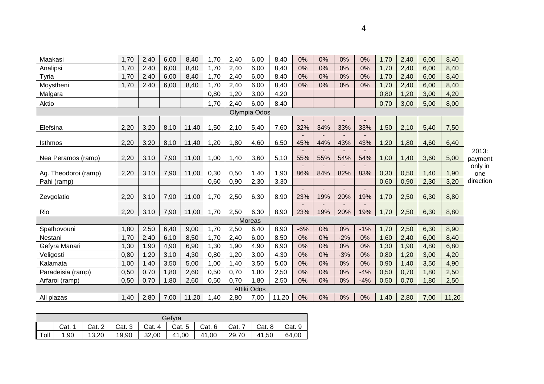| Maakasi              | 1,70 | 2,40 | 6,00 | 8,40  | 1,70 | 2,40 | 6,00        | 8,40  | 0%    | 0%  | 0%    | 0%    | 1,70 | 2,40 | 6,00 | 8,40  |                |
|----------------------|------|------|------|-------|------|------|-------------|-------|-------|-----|-------|-------|------|------|------|-------|----------------|
| Analipsi             | 1,70 | 2,40 | 6,00 | 8,40  | 1,70 | 2,40 | 6,00        | 8,40  | 0%    | 0%  | 0%    | 0%    | 1,70 | 2,40 | 6,00 | 8,40  |                |
| Tyria                | 1,70 | 2,40 | 6,00 | 8,40  | 1,70 | 2,40 | 6,00        | 8,40  | 0%    | 0%  | 0%    | 0%    | 1,70 | 2,40 | 6,00 | 8,40  |                |
| Moystheni            | 1,70 | 2,40 | 6,00 | 8,40  | 1,70 | 2,40 | 6,00        | 8,40  | 0%    | 0%  | 0%    | 0%    | 1,70 | 2,40 | 6,00 | 8,40  |                |
| Malgara              |      |      |      |       | 0.80 | 1,20 | 3,00        | 4,20  |       |     |       |       | 0,80 | 1,20 | 3,00 | 4,20  |                |
| Aktio                |      |      |      |       | 1,70 | 2,40 | 6,00        | 8,40  |       |     |       |       | 0,70 | 3,00 | 5,00 | 8,00  |                |
| Olympia Odos         |      |      |      |       |      |      |             |       |       |     |       |       |      |      |      |       |                |
| Elefsina             | 2,20 | 3,20 | 8,10 | 11,40 | 1,50 | 2,10 | 5,40        | 7,60  | 32%   | 34% | 33%   | 33%   | 1,50 | 2,10 | 5,40 | 7,50  |                |
|                      |      |      |      |       |      |      |             |       |       |     |       |       |      |      |      |       |                |
| <b>Isthmos</b>       | 2,20 | 3,20 | 8,10 | 11,40 | 1,20 | 1,80 | 4,60        | 6,50  | 45%   | 44% | 43%   | 43%   | 1,20 | 1,80 | 4,60 | 6,40  |                |
|                      |      |      |      |       |      |      |             |       |       |     |       |       |      |      |      |       | 2013:          |
| Nea Peramos (ramp)   | 2,20 | 3,10 | 7,90 | 11,00 | 1,00 | 1,40 | 3,60        | 5,10  | 55%   | 55% | 54%   | 54%   | 1,00 | 1,40 | 3,60 | 5,00  | payment        |
| Ag. Theodoroi (ramp) | 2,20 | 3,10 | 7,90 | 11,00 | 0,30 | 0,50 | 1,40        | 1,90  | 86%   | 84% | 82%   | 83%   | 0,30 | 0,50 | 1,40 | 1,90  | only in<br>one |
| Pahi (ramp)          |      |      |      |       | 0,60 | 0,90 | 2,30        | 3,30  |       |     |       |       | 0,60 | 0,90 | 2,30 | 3,20  | direction      |
|                      |      |      |      |       |      |      |             |       |       |     |       |       |      |      |      |       |                |
| Zevgolatio           | 2,20 | 3,10 | 7,90 | 11,00 | 1,70 | 2,50 | 6,30        | 8,90  | 23%   | 19% | 20%   | 19%   | 1,70 | 2,50 | 6,30 | 8,80  |                |
| Rio                  | 2,20 | 3,10 | 7,90 | 11,00 | 1,70 | 2,50 | 6,30        | 8,90  | 23%   | 19% | 20%   | 19%   | 1,70 | 2,50 | 6,30 | 8,80  |                |
|                      |      |      |      |       |      |      | Moreas      |       |       |     |       |       |      |      |      |       |                |
| Spathovouni          | 1,80 | 2,50 | 6,40 | 9,00  | 1,70 | 2,50 | 6,40        | 8,90  | $-6%$ | 0%  | 0%    | $-1%$ | 1,70 | 2,50 | 6,30 | 8,90  |                |
| Nestani              | 1,70 | 2,40 | 6,10 | 8,50  | 1,70 | 2,40 | 6,00        | 8,50  | 0%    | 0%  | $-2%$ | 0%    | 1,60 | 2,40 | 6,00 | 8,40  |                |
| Gefyra Manari        | 1,30 | 1,90 | 4,90 | 6,90  | 1,30 | 1,90 | 4,90        | 6,90  | 0%    | 0%  | 0%    | 0%    | 1,30 | 1,90 | 4,80 | 6,80  |                |
| Veligosti            | 0,80 | 1,20 | 3,10 | 4,30  | 0,80 | 1,20 | 3,00        | 4,30  | 0%    | 0%  | $-3%$ | 0%    | 0,80 | 1,20 | 3,00 | 4,20  |                |
| Kalamata             | 1,00 | 1,40 | 3,50 | 5,00  | 1,00 | 1,40 | 3,50        | 5,00  | 0%    | 0%  | 0%    | 0%    | 0,90 | 1,40 | 3,50 | 4,90  |                |
| Paradeisia (ramp)    | 0,50 | 0,70 | 1,80 | 2,60  | 0,50 | 0,70 | 1,80        | 2,50  | 0%    | 0%  | 0%    | $-4%$ | 0,50 | 0,70 | 1,80 | 2,50  |                |
| Arfaroi (ramp)       | 0,50 | 0,70 | 1,80 | 2,60  | 0,50 | 0,70 | 1,80        | 2,50  | 0%    | 0%  | 0%    | $-4%$ | 0,50 | 0,70 | 1,80 | 2,50  |                |
|                      |      |      |      |       |      |      | Attiki Odos |       |       |     |       |       |      |      |      |       |                |
| All plazas           | 1,40 | 2,80 | 7,00 | 11,20 | 1,40 | 2,80 | 7,00        | 11,20 | 0%    | 0%  | 0%    | 0%    | 1,40 | 2,80 | 7,00 | 11,20 |                |

| Gefvra |      |                      |       |                                            |                                           |  |  |                      |       |
|--------|------|----------------------|-------|--------------------------------------------|-------------------------------------------|--|--|----------------------|-------|
|        |      | Cat. $1 \mid$ Cat. 2 |       | Cat. 3   Cat. 4   Cat. 5   Cat. 6   Cat. 7 |                                           |  |  | Cat. $8 \mid$ Cat. 9 |       |
| Toll   | 1.90 | 13,20                | 19,90 | 32,00                                      | $\vert$ 41,00 $\vert$ 41,00 $\vert$ 29,70 |  |  | 41.50                | 64.00 |

4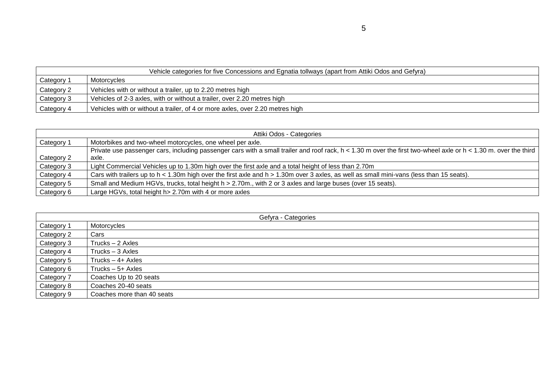|            | Vehicle categories for five Concessions and Egnatia tollways (apart from Attiki Odos and Gefyra) |  |  |  |  |  |  |
|------------|--------------------------------------------------------------------------------------------------|--|--|--|--|--|--|
| Category 1 | Motorcycles                                                                                      |  |  |  |  |  |  |
| Category 2 | Vehicles with or without a trailer, up to 2.20 metres high                                       |  |  |  |  |  |  |
| Category 3 | Vehicles of 2-3 axles, with or without a trailer, over 2.20 metres high                          |  |  |  |  |  |  |
| Category 4 | Vehicles with or without a trailer, of 4 or more axles, over 2.20 metres high                    |  |  |  |  |  |  |

|            | Attiki Odos - Categories                                                                                                                                            |  |  |  |  |  |  |  |
|------------|---------------------------------------------------------------------------------------------------------------------------------------------------------------------|--|--|--|--|--|--|--|
| Category 1 | Motorbikes and two-wheel motorcycles, one wheel per axle.                                                                                                           |  |  |  |  |  |  |  |
|            | Private use passenger cars, including passenger cars with a small trailer and roof rack, $h < 1.30$ m over the first two-wheel axle or $h < 1.30$ m. over the third |  |  |  |  |  |  |  |
| Category 2 | axle.                                                                                                                                                               |  |  |  |  |  |  |  |
| Category 3 | Light Commercial Vehicles up to 1.30m high over the first axle and a total height of less than 2.70m                                                                |  |  |  |  |  |  |  |
| Category 4 | Cars with trailers up to h < 1.30m high over the first axle and h > 1.30m over 3 axles, as well as small mini-vans (less than 15 seats).                            |  |  |  |  |  |  |  |
| Category 5 | Small and Medium HGVs, trucks, total height h > 2.70m., with 2 or 3 axles and large buses (over 15 seats).                                                          |  |  |  |  |  |  |  |
| Category 6 | Large HGVs, total height h> 2.70m with 4 or more axles                                                                                                              |  |  |  |  |  |  |  |

| Gefyra - Categories |                            |  |  |  |  |  |
|---------------------|----------------------------|--|--|--|--|--|
| Category 1          | Motorcycles                |  |  |  |  |  |
| Category 2          | Cars                       |  |  |  |  |  |
| Category 3          | Trucks - 2 Axles           |  |  |  |  |  |
| Category 4          | Trucks - 3 Axles           |  |  |  |  |  |
| Category 5          | Trucks $-4+$ Axles         |  |  |  |  |  |
| Category 6          | Trucks $-5+$ Axles         |  |  |  |  |  |
| Category 7          | Coaches Up to 20 seats     |  |  |  |  |  |
| Category 8          | Coaches 20-40 seats        |  |  |  |  |  |
| Category 9          | Coaches more than 40 seats |  |  |  |  |  |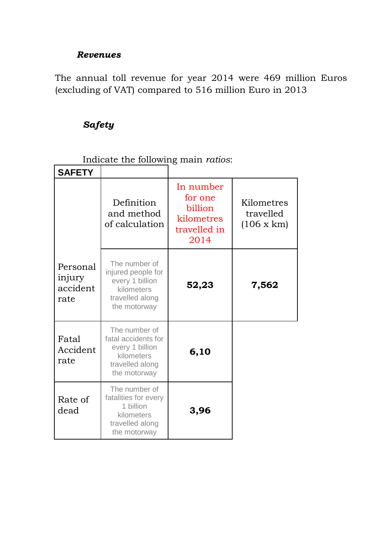## *Revenues*

The annual toll revenue for year 2014 were 469 million Euros (excluding of VAT) compared to 516 million Euro in 2013

# *Safety*

Indicate the following main *ratios*:

| <b>SAFETY</b>                          |                                                                                                          |                                                                       |                                              |
|----------------------------------------|----------------------------------------------------------------------------------------------------------|-----------------------------------------------------------------------|----------------------------------------------|
|                                        | Definition<br>and method<br>of calculation                                                               | In number<br>for one<br>billion<br>kilometres<br>travelled in<br>2014 | Kilometres<br>travelled<br>$(106 \times km)$ |
| Personal<br>injury<br>accident<br>rate | The number of<br>injured people for<br>every 1 billion<br>kilometers<br>travelled along<br>the motorway  | 52,23                                                                 | 7,562                                        |
| Fatal<br>Accident<br>rate              | The number of<br>fatal accidents for<br>every 1 billion<br>kilometers<br>travelled along<br>the motorway | 6,10                                                                  |                                              |
| Rate of<br>dead                        | The number of<br>fatalities for every<br>1 billion<br>kilometers<br>travelled along<br>the motorway      | 3,96                                                                  |                                              |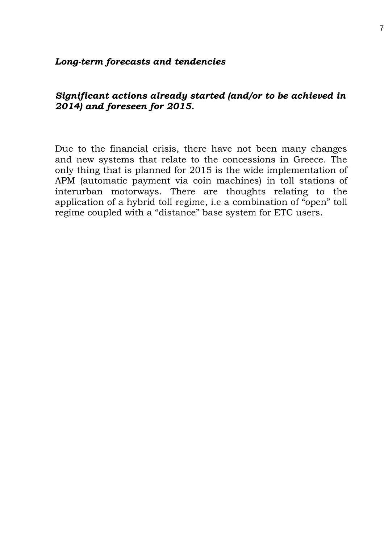#### *Long-term forecasts and tendencies*

### *Significant actions already started (and/or to be achieved in 2014) and foreseen for 2015.*

Due to the financial crisis, there have not been many changes and new systems that relate to the concessions in Greece. The only thing that is planned for 2015 is the wide implementation of APM (automatic payment via coin machines) in toll stations of interurban motorways. There are thoughts relating to the application of a hybrid toll regime, i.e a combination of "open" toll regime coupled with a "distance" base system for ETC users.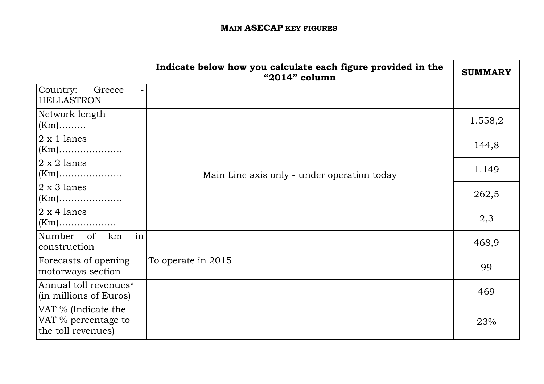|                                                                  | Indicate below how you calculate each figure provided in the<br>"2014" column | <b>SUMMARY</b> |
|------------------------------------------------------------------|-------------------------------------------------------------------------------|----------------|
| Country:<br>Greece<br>-<br><b>HELLASTRON</b>                     |                                                                               |                |
| Network length<br>$(Km)$                                         |                                                                               | 1.558,2        |
| $ 2 \times 1 $ lanes                                             |                                                                               | 144,8          |
| $2 \times 2$ lanes                                               | Main Line axis only - under operation today                                   | 1.149          |
| $2 \times 3$ lanes<br>$(Km)$                                     |                                                                               | 262,5          |
| $2 \times 4$ lanes                                               |                                                                               | 2,3            |
| Number of<br>km<br>in<br>construction                            |                                                                               | 468,9          |
| Forecasts of opening<br>motorways section                        | To operate in 2015                                                            | 99             |
| Annual toll revenues*<br>(in millions of Euros)                  |                                                                               | 469            |
| VAT % (Indicate the<br>VAT % percentage to<br>the toll revenues) |                                                                               | 23%            |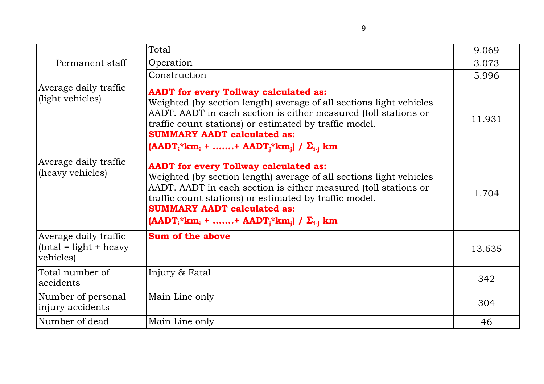|                                                                 | Total                                                                                                                                                                                                                                                                                                                                              | 9.069  |
|-----------------------------------------------------------------|----------------------------------------------------------------------------------------------------------------------------------------------------------------------------------------------------------------------------------------------------------------------------------------------------------------------------------------------------|--------|
| Permanent staff                                                 | Operation                                                                                                                                                                                                                                                                                                                                          | 3.073  |
|                                                                 | Construction                                                                                                                                                                                                                                                                                                                                       | 5.996  |
| Average daily traffic<br>(light vehicles)                       | <b>AADT</b> for every Tollway calculated as:<br>Weighted (by section length) average of all sections light vehicles<br>AADT. AADT in each section is either measured (toll stations or<br>traffic count stations) or estimated by traffic model.<br><b>SUMMARY AADT calculated as:</b><br>$(AADT_i * km_i +  + AADT_i * km_i) / \sum_{i=1}^k km_i$ | 11.931 |
| Average daily traffic<br>(heavy vehicles)                       | <b>AADT</b> for every Tollway calculated as:<br>Weighted (by section length) average of all sections light vehicles<br>AADT. AADT in each section is either measured (toll stations or<br>traffic count stations) or estimated by traffic model.<br><b>SUMMARY AADT calculated as:</b><br>$(AADT_i * km_i +  + AADT_i * km_i) / \sum_{i=1}^k km_i$ | 1.704  |
| Average daily traffic<br>$(total = light + heavy)$<br>vehicles) | Sum of the above                                                                                                                                                                                                                                                                                                                                   | 13.635 |
| Total number of<br>accidents                                    | Injury & Fatal                                                                                                                                                                                                                                                                                                                                     | 342    |
| Number of personal<br>injury accidents                          | Main Line only                                                                                                                                                                                                                                                                                                                                     | 304    |
| Number of dead                                                  | Main Line only                                                                                                                                                                                                                                                                                                                                     | 46     |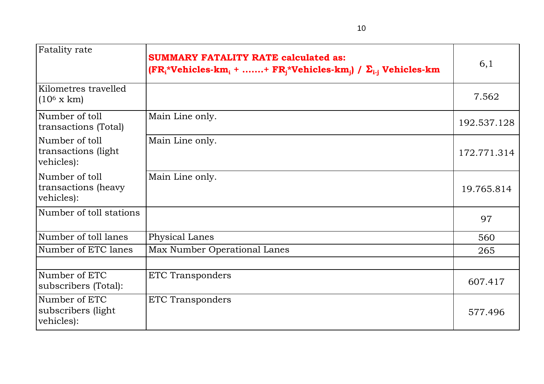| Fatality rate                                       | <b>SUMMARY FATALITY RATE calculated as:</b><br>$(\mathbf{FR}_{i}^{*}\mathbf{V}$ ehicles-km <sub>i</sub> + + $\mathbf{FR}_{i}^{*}\mathbf{V}$ ehicles-km <sub>i</sub> ) / $\Sigma_{i-i}$ Vehicles-km | 6,1         |
|-----------------------------------------------------|----------------------------------------------------------------------------------------------------------------------------------------------------------------------------------------------------|-------------|
| Kilometres travelled<br>$(10^6 \text{ x km})$       |                                                                                                                                                                                                    | 7.562       |
| Number of toll<br>transactions (Total)              | Main Line only.                                                                                                                                                                                    | 192.537.128 |
| Number of toll<br>transactions (light<br>vehicles): | Main Line only.                                                                                                                                                                                    | 172.771.314 |
| Number of toll<br>transactions (heavy<br>vehicles): | Main Line only.                                                                                                                                                                                    | 19.765.814  |
| Number of toll stations                             |                                                                                                                                                                                                    | 97          |
| Number of toll lanes                                | Physical Lanes                                                                                                                                                                                     | 560         |
| Number of ETC lanes                                 | Max Number Operational Lanes                                                                                                                                                                       | 265         |
|                                                     |                                                                                                                                                                                                    |             |
| Number of ETC<br>subscribers (Total):               | <b>ETC Transponders</b>                                                                                                                                                                            | 607.417     |
| Number of ETC<br>subscribers (light)<br>vehicles):  | <b>ETC Transponders</b>                                                                                                                                                                            | 577.496     |

10